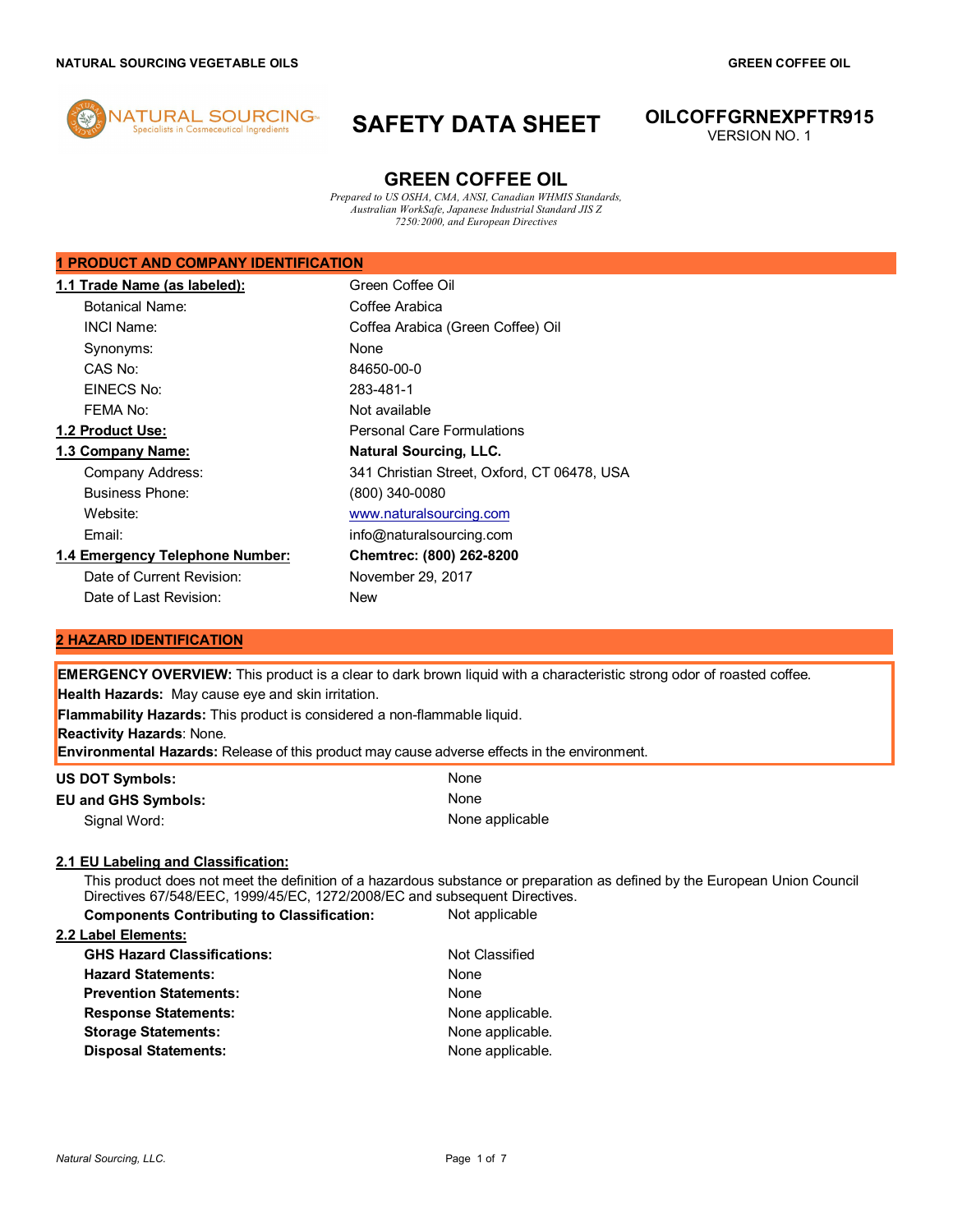

# **SAFETY DATA SHEET OILCOFFGRNEXPFTR915**

VERSION NO. 1

# **GREEN COFFEE OIL**

*Prepared to US OSHA, CMA, ANSI, Canadian WHMIS Standards, Australian WorkSafe, Japanese Industrial Standard JIS Z 7250:2000, and European Directives*

#### **1 PRODUCT AND COMPANY IDENTIFICATION**

| 1.1 Trade Name (as labeled):    | Green Coffee Oil                            |
|---------------------------------|---------------------------------------------|
| <b>Botanical Name:</b>          | Coffee Arabica                              |
| INCI Name:                      | Coffea Arabica (Green Coffee) Oil           |
| Synonyms:                       | None                                        |
| CAS No:                         | 84650-00-0                                  |
| EINECS No:                      | 283-481-1                                   |
| FEMA No:                        | Not available                               |
| 1.2 Product Use:                | <b>Personal Care Formulations</b>           |
| 1.3 Company Name:               | <b>Natural Sourcing, LLC.</b>               |
| Company Address:                | 341 Christian Street, Oxford, CT 06478, USA |
| <b>Business Phone:</b>          | $(800)$ 340-0080                            |
| Website:                        | www.naturalsourcing.com                     |
| Email:                          | info@naturalsourcing.com                    |
| 1.4 Emergency Telephone Number: | Chemtrec: (800) 262-8200                    |
| Date of Current Revision:       | November 29, 2017                           |
| Date of Last Revision:          | New                                         |

### **2 HAZARD IDENTIFICATION**

**EMERGENCY OVERVIEW:** This product is a clear to dark brown liquid with a characteristic strong odor of roasted coffee. **Health Hazards:** May cause eye and skin irritation.

**Flammability Hazards:** This product is considered a non-flammable liquid. **Reactivity Hazards**: None.

**Environmental Hazards:** Release of this product may cause adverse effects in the environment.

| <b>US DOT Symbols:</b>     | <b>None</b>     |
|----------------------------|-----------------|
| <b>EU and GHS Symbols:</b> | <b>None</b>     |
| Signal Word:               | None applicable |

#### **2.1 EU Labeling and Classification:**

This product does not meet the definition of a hazardous substance or preparation as defined by the European Union Council Directives 67/548/EEC, 1999/45/EC, 1272/2008/EC and subsequent Directives.

**Components Contributing to Classification:** Not applicable

# **2.2 Label Elements:**

| <b>GHS Hazard Classifications:</b> | Not Classified   |
|------------------------------------|------------------|
| <b>Hazard Statements:</b>          | <b>None</b>      |
| <b>Prevention Statements:</b>      | <b>None</b>      |
| <b>Response Statements:</b>        | None applicable. |
| <b>Storage Statements:</b>         | None applicable. |
| <b>Disposal Statements:</b>        | None applicable. |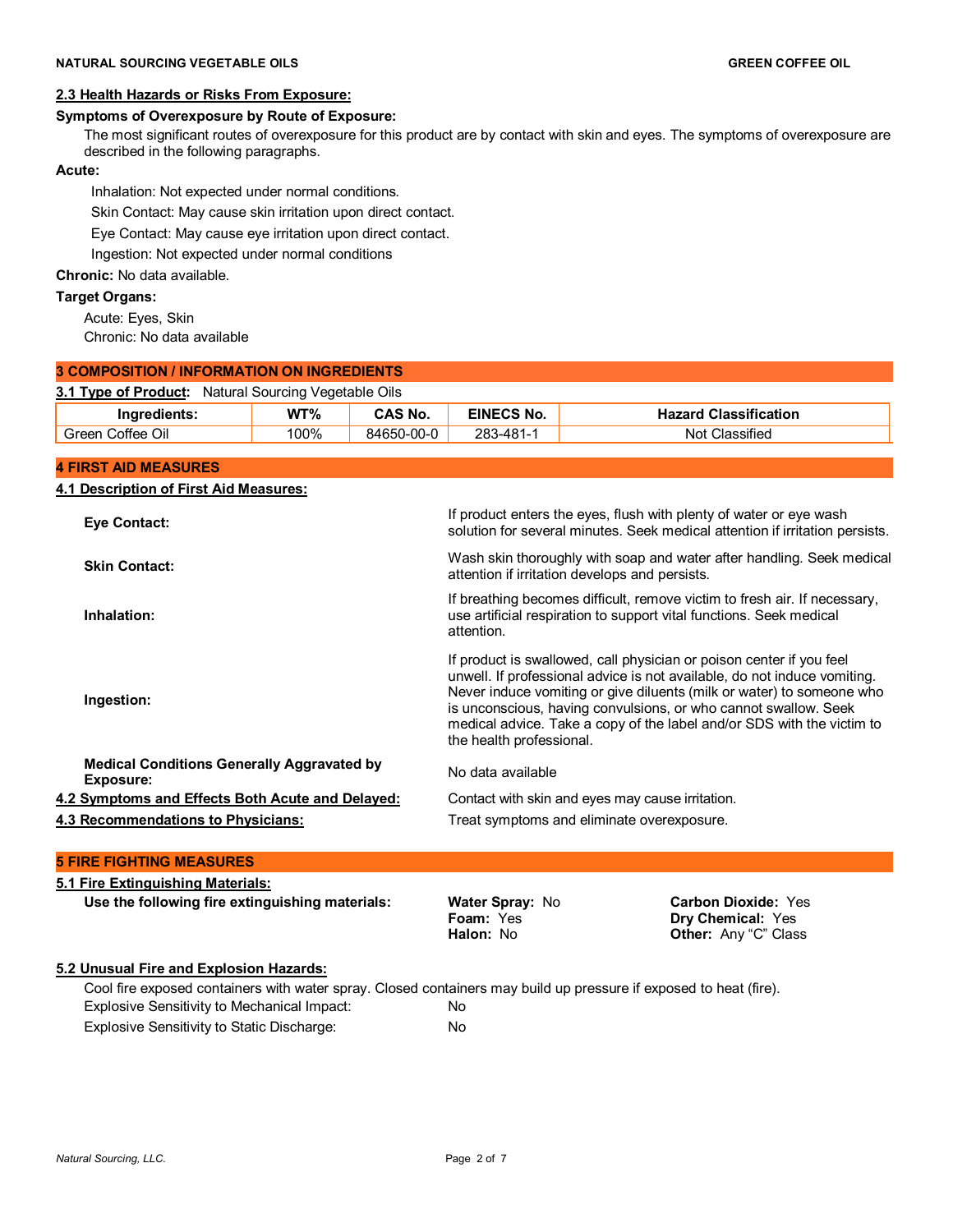#### **2.3 Health Hazards or Risks From Exposure:**

#### **Symptoms of Overexposure by Route of Exposure:**

The most significant routes of overexposure for this product are by contact with skin and eyes. The symptoms of overexposure are described in the following paragraphs.

#### **Acute:**

Inhalation: Not expected under normal conditions.

Skin Contact: May cause skin irritation upon direct contact.

Eye Contact: May cause eye irritation upon direct contact.

Ingestion: Not expected under normal conditions

# **Chronic:** No data available.

### **Target Organs:**

Acute: Eyes, Skin Chronic: No data available

| <b>3 COMPOSITION / INFORMATION ON INGREDIENTS</b>    |        |                |                   |                              |
|------------------------------------------------------|--------|----------------|-------------------|------------------------------|
| 3.1 Type of Product: Natural Sourcing Vegetable Oils |        |                |                   |                              |
| Ingredients:                                         | $WT\%$ | <b>CAS No.</b> | <b>EINECS No.</b> | <b>Hazard Classification</b> |
| Green Coffee Oil                                     | 100%   | 84650-00-0     | 283-481-1         | Not Classified               |

| <b>4 FIRST AID MEASURES</b>                                           |                                                                                                                                                                                                                                                                                                                                                                                                    |
|-----------------------------------------------------------------------|----------------------------------------------------------------------------------------------------------------------------------------------------------------------------------------------------------------------------------------------------------------------------------------------------------------------------------------------------------------------------------------------------|
| 4.1 Description of First Aid Measures:                                |                                                                                                                                                                                                                                                                                                                                                                                                    |
| Eye Contact:                                                          | If product enters the eyes, flush with plenty of water or eye wash<br>solution for several minutes. Seek medical attention if irritation persists.                                                                                                                                                                                                                                                 |
| <b>Skin Contact:</b>                                                  | Wash skin thoroughly with soap and water after handling. Seek medical<br>attention if irritation develops and persists.                                                                                                                                                                                                                                                                            |
| Inhalation:                                                           | If breathing becomes difficult, remove victim to fresh air. If necessary,<br>use artificial respiration to support vital functions. Seek medical<br>attention.                                                                                                                                                                                                                                     |
| Ingestion:                                                            | If product is swallowed, call physician or poison center if you feel<br>unwell. If professional advice is not available, do not induce vomiting.<br>Never induce vomiting or give diluents (milk or water) to someone who<br>is unconscious, having convulsions, or who cannot swallow. Seek<br>medical advice. Take a copy of the label and/or SDS with the victim to<br>the health professional. |
| <b>Medical Conditions Generally Aggravated by</b><br><b>Exposure:</b> | No data available                                                                                                                                                                                                                                                                                                                                                                                  |
| 4.2 Symptoms and Effects Both Acute and Delayed:                      | Contact with skin and eyes may cause irritation.                                                                                                                                                                                                                                                                                                                                                   |
| 4.3 Recommendations to Physicians:                                    | Treat symptoms and eliminate overexposure.                                                                                                                                                                                                                                                                                                                                                         |

#### **5 FIRE FIGHTING MEASURES**

#### **5.1 Fire Extinguishing Materials:**

**Use the following fire extinguishing materials: Water Spray:** No

**Foam:** Yes **Halon:** No

**Carbon Dioxide:** Yes **Dry Chemical:** Yes **Other:** Any "C" Class

#### **5.2 Unusual Fire and Explosion Hazards:**

Cool fire exposed containers with water spray. Closed containers may build up pressure if exposed to heat (fire). Explosive Sensitivity to Mechanical Impact: No Explosive Sensitivity to Static Discharge: No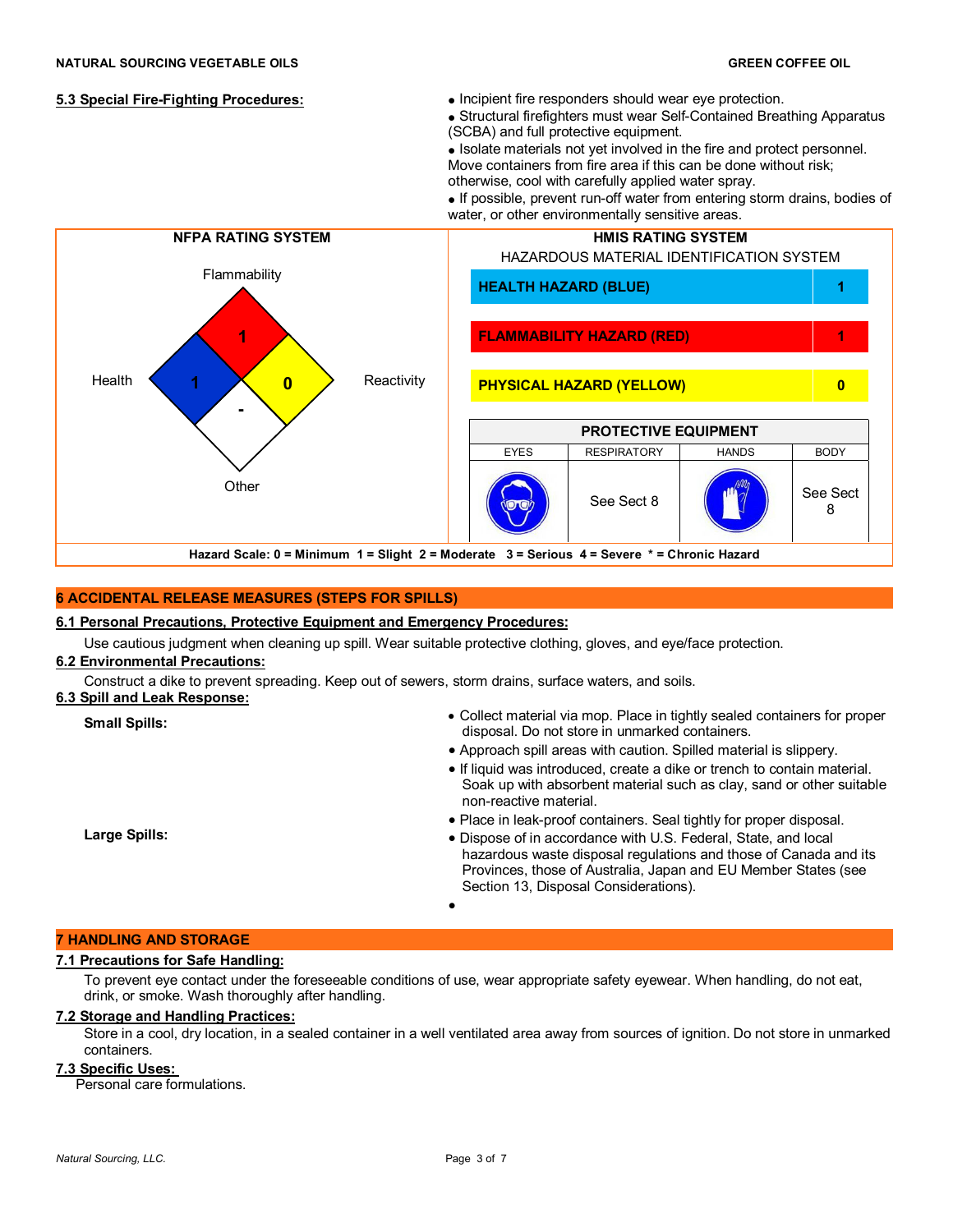- **5.3 Special Fire-Fighting Procedures:**  $\bullet$  Incipient fire responders should wear eye protection.
	- Structural firefighters must wear Self-Contained Breathing Apparatus (SCBA) and full protective equipment.

• Isolate materials not vet involved in the fire and protect personnel. Move containers from fire area if this can be done without risk; otherwise, cool with carefully applied water spray.

• If possible, prevent run-off water from entering storm drains, bodies of water, or other environmentally sensitive areas.



#### **6 ACCIDENTAL RELEASE MEASURES (STEPS FOR SPILLS)**

#### **6.1 Personal Precautions, Protective Equipment and Emergency Procedures:**

Use cautious judgment when cleaning up spill. Wear suitable protective clothing, gloves, and eye/face protection.

# **6.2 Environmental Precautions:**

Construct a dike to prevent spreading. Keep out of sewers, storm drains, surface waters, and soils.

### **6.3 Spill and Leak Response:**

- **Small Spills:** Small Spills: **Small Spills: Collect material via mop.** Place in tightly sealed containers for proper disposal. Do not store in unmarked containers.
	- Approach spill areas with caution. Spilled material is slippery.
	- If liquid was introduced, create a dike or trench to contain material. Soak up with absorbent material such as clay, sand or other suitable non-reactive material.
	- Place in leak-proof containers. Seal tightly for proper disposal.
	- Dispose of in accordance with U.S. Federal, State, and local hazardous waste disposal regulations and those of Canada and its Provinces, those of Australia, Japan and EU Member States (see Section 13, Disposal Considerations).

**Large Spills:**

 $\bullet$ 

### **7 HANDLING AND STORAGE**

#### **7.1 Precautions for Safe Handling:**

To prevent eye contact under the foreseeable conditions of use, wear appropriate safety eyewear. When handling, do not eat, drink, or smoke. Wash thoroughly after handling.

#### **7.2 Storage and Handling Practices:**

Store in a cool, dry location, in a sealed container in a well ventilated area away from sources of ignition. Do not store in unmarked containers.

#### **7.3 Specific Uses:**

Personal care formulations.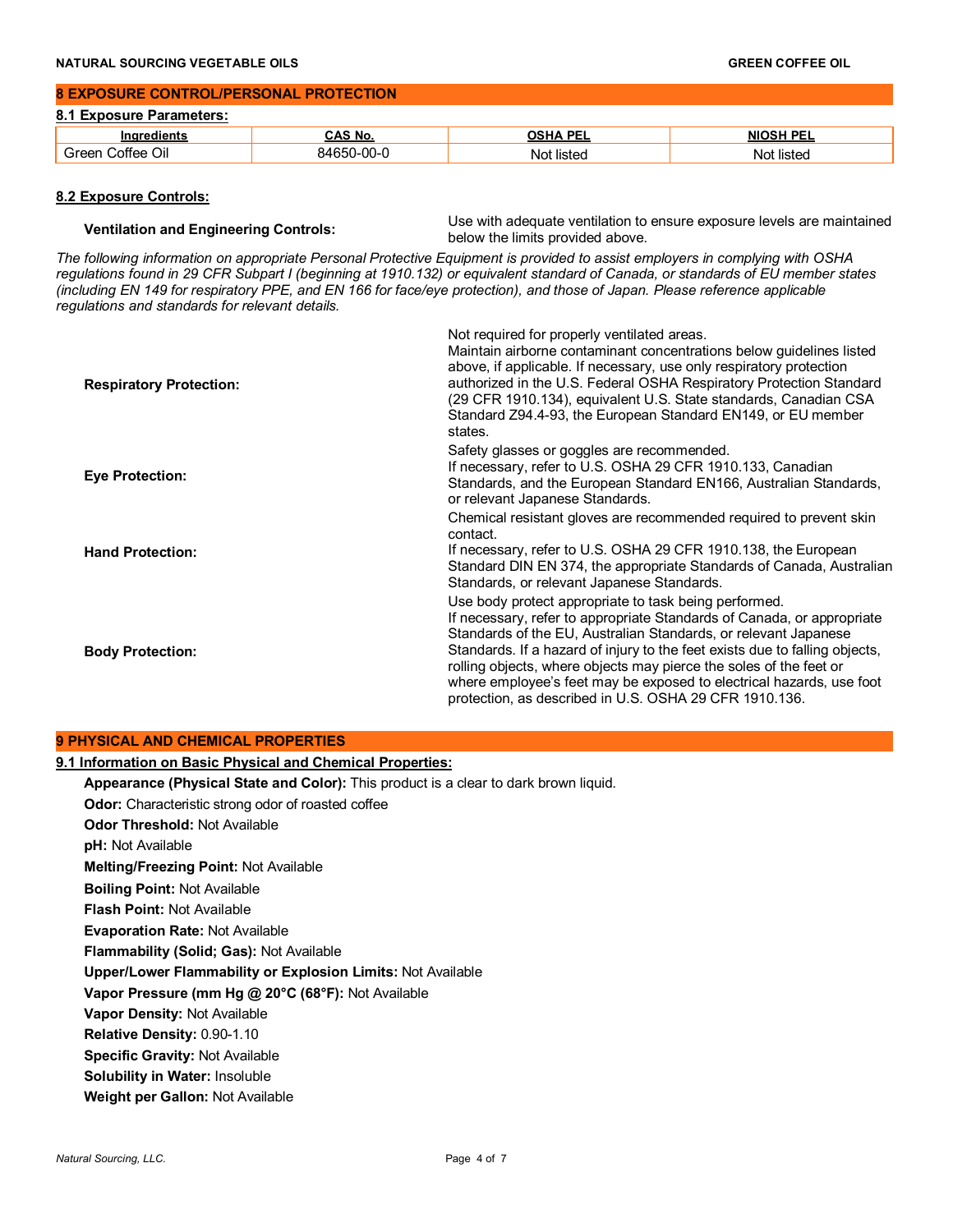#### **8 EXPOSURE CONTROL/PERSONAL PROTECTION**

#### **8.1 Exposure Parameters:**

|                                 | Nο | <b>DEL</b>   | <b>NIOCH DEI</b> |
|---------------------------------|----|--------------|------------------|
| $\sim$ $\cdot$<br>Oil<br>11 I F | ~~ | <br>не<br>Nr |                  |

#### **8.2 Exposure Controls:**

**Ventilation and Engineering Controls:** Use with adequate ventilation to ensure exposure levels are maintained below the limits provided above.

*The following information on appropriate Personal Protective Equipment is provided to assist employers in complying with OSHA regulations found in 29 CFR Subpart I (beginning at 1910.132) or equivalent standard of Canada, or standards of EU member states (including EN 149 for respiratory PPE, and EN 166 for face/eye protection), and those of Japan. Please reference applicable regulations and standards for relevant details.*

| <b>Respiratory Protection:</b> | Not required for properly ventilated areas.<br>Maintain airborne contaminant concentrations below guidelines listed<br>above, if applicable. If necessary, use only respiratory protection<br>authorized in the U.S. Federal OSHA Respiratory Protection Standard<br>(29 CFR 1910.134), equivalent U.S. State standards, Canadian CSA<br>Standard Z94.4-93, the European Standard EN149, or EU member<br>states.                                                                          |
|--------------------------------|-------------------------------------------------------------------------------------------------------------------------------------------------------------------------------------------------------------------------------------------------------------------------------------------------------------------------------------------------------------------------------------------------------------------------------------------------------------------------------------------|
| <b>Eye Protection:</b>         | Safety glasses or goggles are recommended.<br>If necessary, refer to U.S. OSHA 29 CFR 1910.133, Canadian<br>Standards, and the European Standard EN166, Australian Standards,<br>or relevant Japanese Standards.                                                                                                                                                                                                                                                                          |
| <b>Hand Protection:</b>        | Chemical resistant gloves are recommended required to prevent skin<br>contact.<br>If necessary, refer to U.S. OSHA 29 CFR 1910.138, the European<br>Standard DIN EN 374, the appropriate Standards of Canada, Australian<br>Standards, or relevant Japanese Standards.                                                                                                                                                                                                                    |
| <b>Body Protection:</b>        | Use body protect appropriate to task being performed.<br>If necessary, refer to appropriate Standards of Canada, or appropriate<br>Standards of the EU, Australian Standards, or relevant Japanese<br>Standards. If a hazard of injury to the feet exists due to falling objects,<br>rolling objects, where objects may pierce the soles of the feet or<br>where employee's feet may be exposed to electrical hazards, use foot<br>protection, as described in U.S. OSHA 29 CFR 1910.136. |

#### **9 PHYSICAL AND CHEMICAL PROPERTIES**

**9.1 Information on Basic Physical and Chemical Properties: Appearance (Physical State and Color):** This product is a clear to dark brown liquid. **Odor:** Characteristic strong odor of roasted coffee **Odor Threshold:** Not Available **pH:** Not Available **Melting/Freezing Point:** Not Available **Boiling Point:** Not Available **Flash Point:** Not Available **Evaporation Rate:** Not Available **Flammability (Solid; Gas):** Not Available **Upper/Lower Flammability or Explosion Limits:** Not Available **Vapor Pressure (mm Hg @ 20°C (68°F):** Not Available **Vapor Density:** Not Available **Relative Density:** 0.90-1.10 **Specific Gravity:** Not Available **Solubility in Water:** Insoluble **Weight per Gallon:** Not Available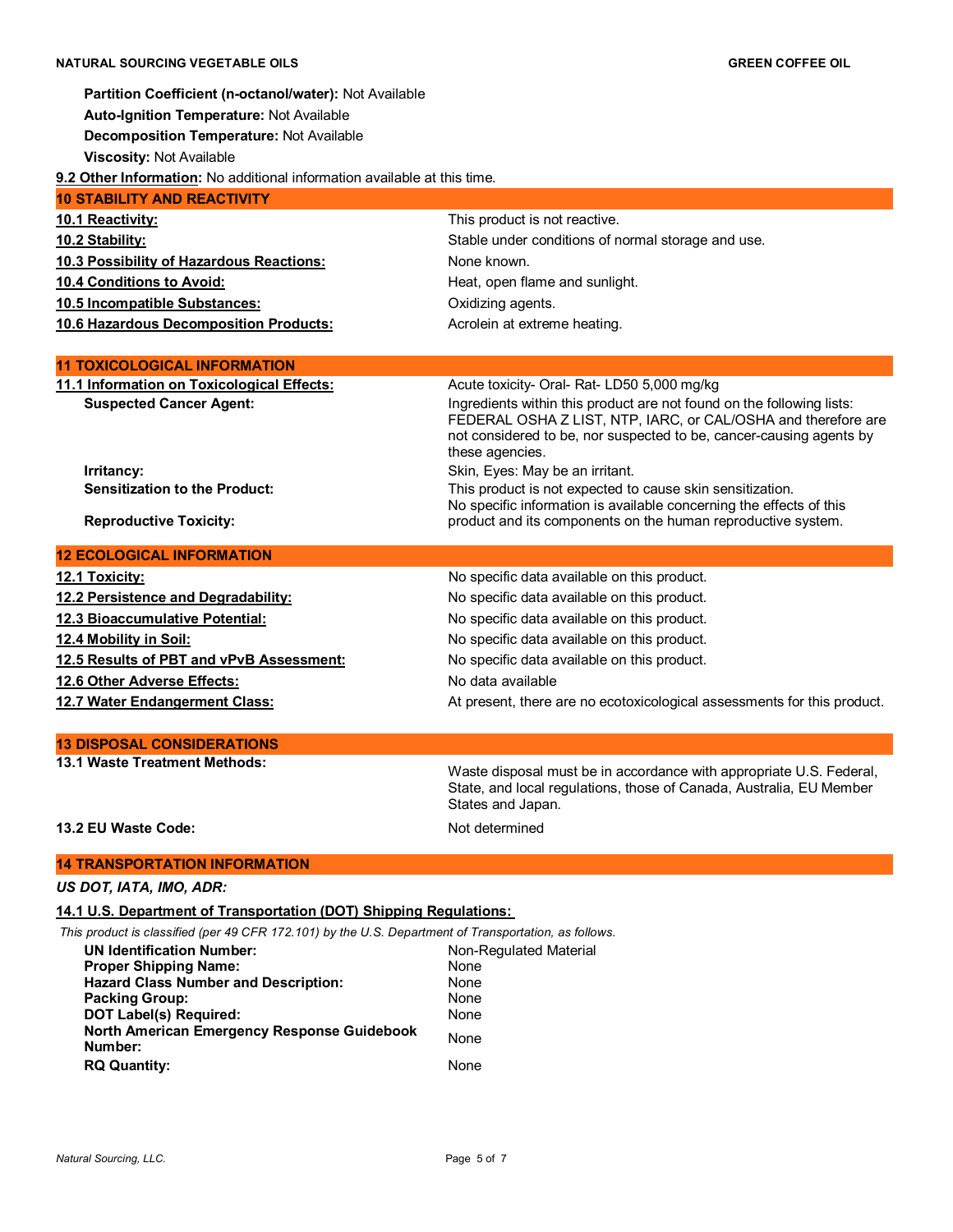**Partition Coefficient (n-octanol/water):** Not Available **Auto-Ignition Temperature:** Not Available **Decomposition Temperature:** Not Available **Viscosity:** Not Available

**9.2 Other Information:** No additional information available at this time.

| <b>10 STABILITY AND REACTIVITY</b>       |                                                    |
|------------------------------------------|----------------------------------------------------|
| 10.1 Reactivity:                         | This product is not reactive.                      |
| 10.2 Stability:                          | Stable under conditions of normal storage and use. |
| 10.3 Possibility of Hazardous Reactions: | None known.                                        |
| 10.4 Conditions to Avoid:                | Heat, open flame and sunlight.                     |
| 10.5 Incompatible Substances:            | Oxidizing agents.                                  |
| 10.6 Hazardous Decomposition Products:   | Acrolein at extreme heating.                       |
|                                          |                                                    |

these agencies.

Acute toxicity- Oral- Rat- LD50 5,000 mg/kg

Ingredients within this product are not found on the following lists: FEDERAL OSHA Z LIST, NTP, IARC, or CAL/OSHA and therefore are not considered to be, nor suspected to be, cancer-causing agents by

No specific information is available concerning the effects of this product and its components on the human reproductive system.

#### **11 TOXICOLOGICAL INFORMATION**

| 11.1 Information on Toxicological Effects: |  |
|--------------------------------------------|--|
| <b>Suspected Cancer Agent:</b>             |  |
|                                            |  |

**Irritancy: Internal Contract Contract Contract Contract Contract Contract Contract Contract Contract Contract Contract Contract Contract Contract Contract Contract Contract Contract Contract Contract Contract Contract C Sensitization to the Product:** This product is not expected to cause skin sensitization.

**Reproductive Toxicity:**

# **12 ECOLOGICAL INFORMATION**

| 12.1 Toxicity:                           | No specific data available on this product.                             |
|------------------------------------------|-------------------------------------------------------------------------|
| 12.2 Persistence and Degradability:      | No specific data available on this product.                             |
| 12.3 Bioaccumulative Potential:          | No specific data available on this product.                             |
| 12.4 Mobility in Soil:                   | No specific data available on this product.                             |
| 12.5 Results of PBT and vPvB Assessment: | No specific data available on this product.                             |
| 12.6 Other Adverse Effects:              | No data available                                                       |
| 12.7 Water Endangerment Class:           | At present, there are no ecotoxicological assessments for this product. |

#### **13 DISPOSAL CONSIDERATIONS**

**13.1 Waste Treatment Methods:** Waste disposal must be in accordance with appropriate U.S. Federal, State, and local regulations, those of Canada, Australia, EU Member States and Japan.

**13.2 EU Waste Code:** Not determined

## **14 TRANSPORTATION INFORMATION**

#### *US DOT, IATA, IMO, ADR:*

**14.1 U.S. Department of Transportation (DOT) Shipping Regulations:** 

*This product is classified (per 49 CFR 172.101) by the U.S. Department of Transportation, as follows.*

| <b>UN Identification Number:</b>                       | Non-Regulated Material |
|--------------------------------------------------------|------------------------|
| <b>Proper Shipping Name:</b>                           | None                   |
| <b>Hazard Class Number and Description:</b>            | None                   |
| <b>Packing Group:</b>                                  | None                   |
| <b>DOT Label(s) Required:</b>                          | None                   |
| North American Emergency Response Guidebook<br>Number: | <b>None</b>            |
| <b>RQ Quantity:</b>                                    | <b>None</b>            |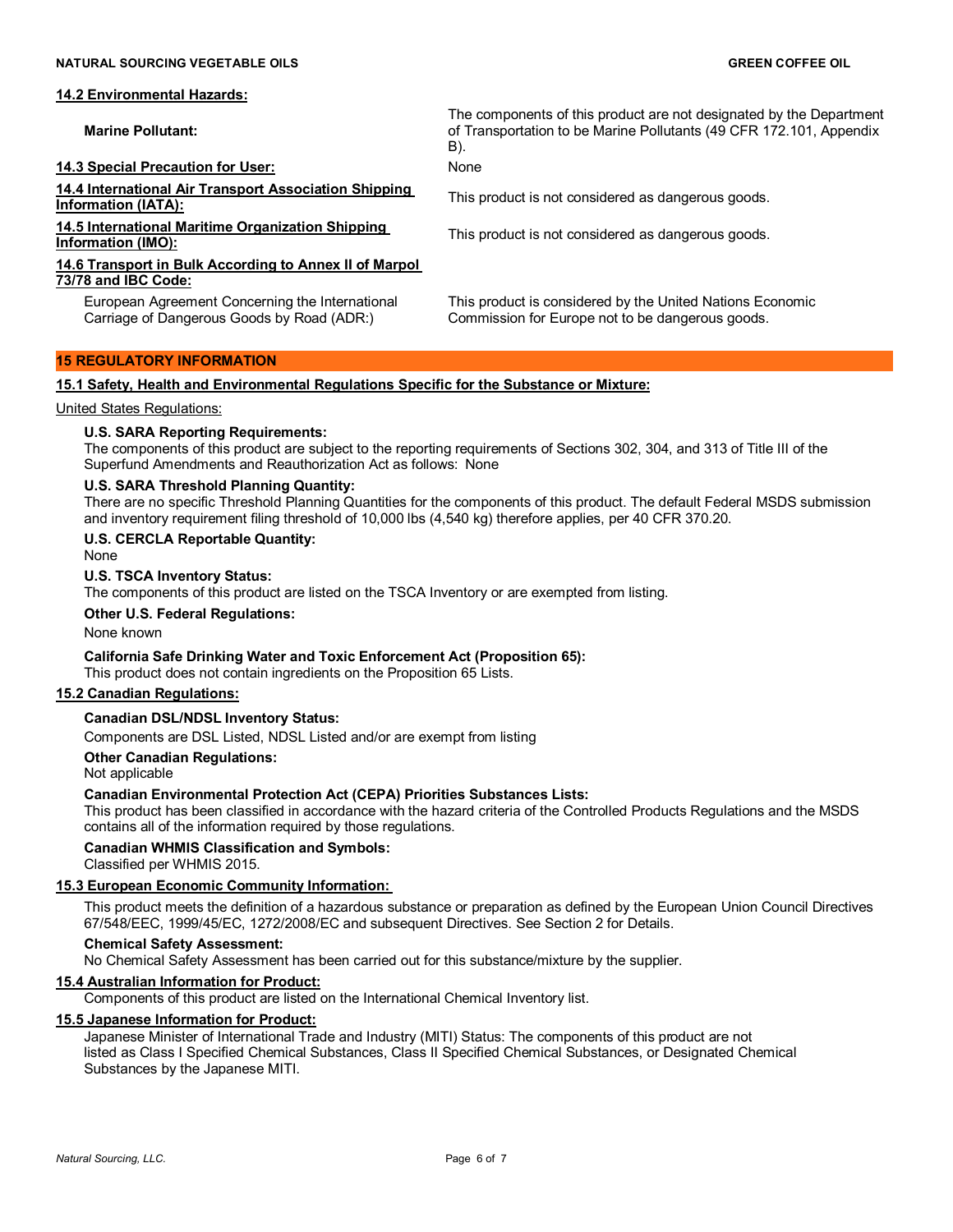#### **14.2 Environmental Hazards:**

**Marine Pollutant:**

#### **14.3 Special Precaution for User:** None

**14.4 International Air Transport Association Shipping IA.4 International AIT Fransport Association Shipping**<br>Information (IATA):

**14.5 International Maritime Organization Shipping** 

**14.6 Transport in Bulk According to Annex II of Marpol 73/78 and IBC Code:**

European Agreement Concerning the International Carriage of Dangerous Goods by Road (ADR:)

The components of this product are not designated by the Department of Transportation to be Marine Pollutants (49 CFR 172.101, Appendix B).

This product is not considered as dangerous goods.

This product is considered by the United Nations Economic Commission for Europe not to be dangerous goods.

#### **15 REGULATORY INFORMATION**

#### **15.1 Safety, Health and Environmental Regulations Specific for the Substance or Mixture:**

United States Regulations:

#### **U.S. SARA Reporting Requirements:**

The components of this product are subject to the reporting requirements of Sections 302, 304, and 313 of Title III of the Superfund Amendments and Reauthorization Act as follows:None

#### **U.S. SARA Threshold Planning Quantity:**

There are no specific Threshold Planning Quantities for the components of this product. The default Federal MSDS submission and inventory requirement filing threshold of 10,000 lbs (4,540 kg) therefore applies, per 40 CFR 370.20.

#### **U.S. CERCLA Reportable Quantity:**

None

#### **U.S. TSCA Inventory Status:**

The components of this product are listed on the TSCA Inventory or are exempted from listing.

#### **Other U.S. Federal Regulations:**

None known

#### **California Safe Drinking Water and Toxic Enforcement Act (Proposition 65):**

This product does not contain ingredients on the Proposition 65 Lists.

#### **15.2 Canadian Regulations:**

### **Canadian DSL/NDSL Inventory Status:**

Components are DSL Listed, NDSL Listed and/or are exempt from listing

**Other Canadian Regulations:** 

Not applicable

#### **Canadian Environmental Protection Act (CEPA) Priorities Substances Lists:**

This product has been classified in accordance with the hazard criteria of the Controlled Products Regulations and the MSDS contains all of the information required by those regulations.

#### **Canadian WHMIS Classification and Symbols:**

Classified per WHMIS 2015.

## **15.3 European Economic Community Information:**

This product meets the definition of a hazardous substance or preparation as defined by the European Union Council Directives 67/548/EEC, 1999/45/EC, 1272/2008/EC and subsequent Directives. See Section 2 for Details.

#### **Chemical Safety Assessment:**

No Chemical Safety Assessment has been carried out for this substance/mixture by the supplier.

#### **15.4 Australian Information for Product:**

Components of this product are listed on the International Chemical Inventory list.

#### **15.5 Japanese Information for Product:**

Japanese Minister of International Trade and Industry (MITI) Status: The components of this product are not listed as Class I Specified Chemical Substances, Class II Specified Chemical Substances, or Designated Chemical Substances by the Japanese MITI.